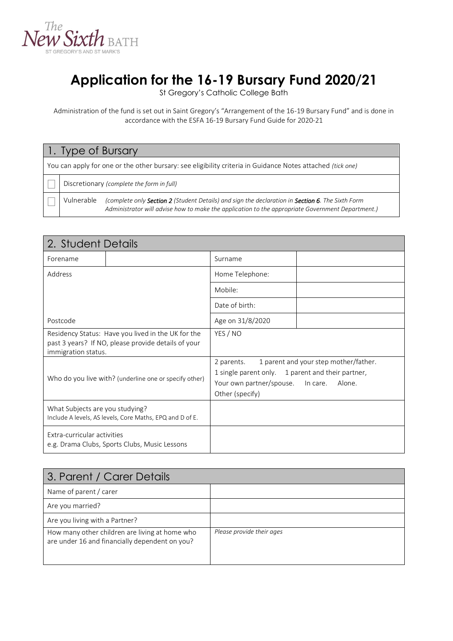

# **Application for the 16-19 Bursary Fund 2020/21**

St Gregory's Catholic College Bath

Administration of the fund is set out in Saint Gregory's "Arrangement of the 16-19 Bursary Fund" and is done in accordance with the ESFA 16-19 Bursary Fund Guide for 2020-21

| 1. Type of Bursary                                                                                         |            |                                                                                                                                                                                                                     |  |
|------------------------------------------------------------------------------------------------------------|------------|---------------------------------------------------------------------------------------------------------------------------------------------------------------------------------------------------------------------|--|
| You can apply for one or the other bursary: see eligibility criteria in Guidance Notes attached (tick one) |            |                                                                                                                                                                                                                     |  |
|                                                                                                            |            | Discretionary (complete the form in full)                                                                                                                                                                           |  |
|                                                                                                            | Vulnerable | (complete only <b>Section 2</b> (Student Details) and sign the declaration in <b>Section 6</b> . The Sixth Form<br>Administrator will advise how to make the application to the appropriate Government Department.) |  |

| 2. Student Details                                                                                                               |  |                                                                                                                |                                                             |
|----------------------------------------------------------------------------------------------------------------------------------|--|----------------------------------------------------------------------------------------------------------------|-------------------------------------------------------------|
| Forename                                                                                                                         |  | Surname                                                                                                        |                                                             |
| Address                                                                                                                          |  | Home Telephone:                                                                                                |                                                             |
|                                                                                                                                  |  | Mobile:                                                                                                        |                                                             |
|                                                                                                                                  |  | Date of birth:                                                                                                 |                                                             |
| Postcode                                                                                                                         |  | Age on 31/8/2020                                                                                               |                                                             |
| Residency Status: Have you lived in the UK for the<br>past 3 years? If NO, please provide details of your<br>immigration status. |  | YES / NO                                                                                                       |                                                             |
| Who do you live with? (underline one or specify other)                                                                           |  | 2 parents.<br>1 single parent only. 1 parent and their partner,<br>Your own partner/spouse.<br>Other (specify) | 1 parent and your step mother/father.<br>In care.<br>Alone. |
| What Subjects are you studying?<br>Include A levels, AS levels, Core Maths, EPQ and D of E.                                      |  |                                                                                                                |                                                             |
| Extra-curricular activities<br>e.g. Drama Clubs, Sports Clubs, Music Lessons                                                     |  |                                                                                                                |                                                             |

| 3. Parent / Carer Details                                                                        |                           |
|--------------------------------------------------------------------------------------------------|---------------------------|
| Name of parent / carer                                                                           |                           |
| Are you married?                                                                                 |                           |
| Are you living with a Partner?                                                                   |                           |
| How many other children are living at home who<br>are under 16 and financially dependent on you? | Please provide their ages |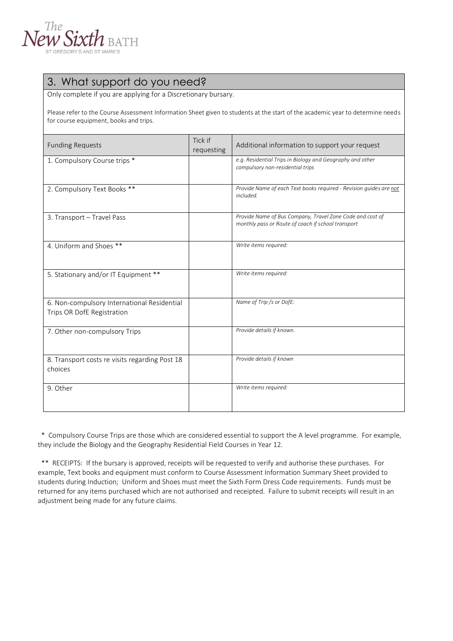

## 3. What support do you need?

Only complete if you are applying for a Discretionary bursary.

Please refer to the Course Assessment Information Sheet given to students at the start of the academic year to determine needs for course equipment, books and trips.

| <b>Funding Requests</b>                                                   | Tick if<br>requesting | Additional information to support your request                                                                  |
|---------------------------------------------------------------------------|-----------------------|-----------------------------------------------------------------------------------------------------------------|
| 1. Compulsory Course trips *                                              |                       | e.g. Residential Trips in Biology and Geography and other<br>compulsory non-residential trips                   |
| 2. Compulsory Text Books **                                               |                       | Provide Name of each Text books required - Revision guides are not<br>included.                                 |
| 3. Transport - Travel Pass                                                |                       | Provide Name of Bus Company, Travel Zone Code and cost of<br>monthly pass or Route of coach if school transport |
| 4. Uniform and Shoes **                                                   |                       | Write items required:                                                                                           |
| 5. Stationary and/or IT Equipment **                                      |                       | Write items required:                                                                                           |
| 6. Non-compulsory International Residential<br>Trips OR DofE Registration |                       | Name of Trip /s or DofE:                                                                                        |
| 7. Other non-compulsory Trips                                             |                       | Provide details if known.                                                                                       |
| 8. Transport costs re visits regarding Post 18<br>choices                 |                       | Provide details if known                                                                                        |
| 9. Other                                                                  |                       | Write items required:                                                                                           |

 \* Compulsory Course Trips are those which are considered essential to support the A level programme. For example, they include the Biology and the Geography Residential Field Courses in Year 12.

 \*\* RECEIPTS: If the bursary is approved, receipts will be requested to verify and authorise these purchases. For example, Text books and equipment must conform to Course Assessment Information Summary Sheet provided to students during Induction; Uniform and Shoes must meet the Sixth Form Dress Code requirements. Funds must be returned for any items purchased which are not authorised and receipted. Failure to submit receipts will result in an adjustment being made for any future claims.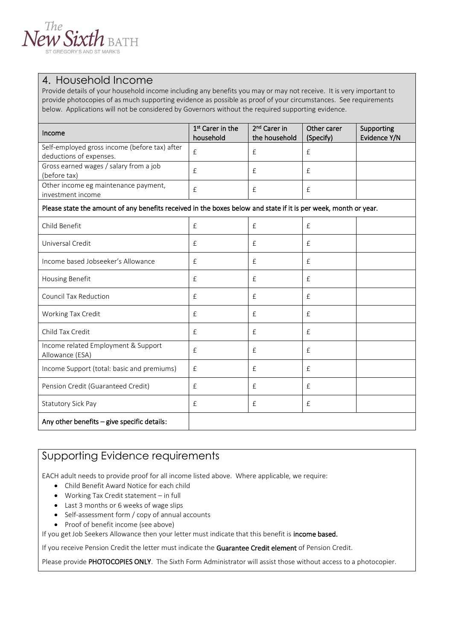

#### 4. Household Income

Provide details of your household income including any benefits you may or may not receive. It is very important to provide photocopies of as much supporting evidence as possible as proof of your circumstances. See requirements below. Applications will not be considered by Governors without the required supporting evidence.

| Income                                                                   | 1 <sup>st</sup> Carer in the<br>household | 2 <sup>nd</sup> Carer in<br>the household | Other carer<br>(Specify) | Supporting<br>Evidence Y/N |
|--------------------------------------------------------------------------|-------------------------------------------|-------------------------------------------|--------------------------|----------------------------|
| Self-employed gross income (before tax) after<br>deductions of expenses. | $\pm$                                     |                                           |                          |                            |
| Gross earned wages / salary from a job<br>(before tax)                   |                                           |                                           |                          |                            |
| Other income eg maintenance payment,<br>investment income                |                                           |                                           |                          |                            |

#### Please state the amount of any benefits received in the boxes below and state if it is per week, month or year.

| Child Benefit                                          | f            | £            | $\pounds$    |  |
|--------------------------------------------------------|--------------|--------------|--------------|--|
| Universal Credit                                       | $\mathbf{f}$ | $\mathbf{f}$ | $\mathbf{f}$ |  |
| Income based Jobseeker's Allowance                     | $\mathbf{f}$ | $\mathbf{f}$ | $\pounds$    |  |
| Housing Benefit                                        | $\mathbf{f}$ | $\mathbf{f}$ | $\mathbf{f}$ |  |
| <b>Council Tax Reduction</b>                           | $\mathbf{f}$ | $\mathbf{f}$ | $\mathbf{f}$ |  |
| Working Tax Credit                                     | $\mathbf{f}$ | $\mathbf{f}$ | $\mathbf{f}$ |  |
| Child Tax Credit                                       | $\mathbf{f}$ | $\mathbf{f}$ | $\mathbf{f}$ |  |
| Income related Employment & Support<br>Allowance (ESA) | $\mathbf{f}$ | $\mathbf{f}$ | $\mathbf{f}$ |  |
| Income Support (total: basic and premiums)             | $\mathbf{f}$ | $\mathbf{f}$ | $\pounds$    |  |
| Pension Credit (Guaranteed Credit)                     | $\mathbf{f}$ | $\mathbf{f}$ | $\mathbf{f}$ |  |
| Statutory Sick Pay                                     | $\mathbf{f}$ | $\mathbf{f}$ | $\mathbf{f}$ |  |
| Any other benefits - give specific details:            |              |              |              |  |

#### Supporting Evidence requirements

EACH adult needs to provide proof for all income listed above. Where applicable, we require:

- Child Benefit Award Notice for each child
- Working Tax Credit statement in full
- Last 3 months or 6 weeks of wage slips
- Self-assessment form / copy of annual accounts
- Proof of benefit income (see above)

If you get Job Seekers Allowance then your letter must indicate that this benefit is income based.

If you receive Pension Credit the letter must indicate the Guarantee Credit element of Pension Credit.

Please provide PHOTOCOPIES ONLY. The Sixth Form Administrator will assist those without access to a photocopier.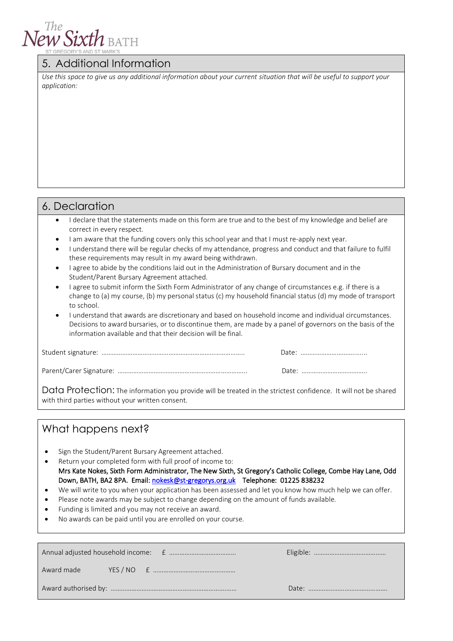

#### 5. Additional Information

*Use this space to give us any additional information about your current situation that will be useful to support your application:*

### 6. Declaration

- I declare that the statements made on this form are true and to the best of my knowledge and belief are correct in every respect.
- I am aware that the funding covers only this school year and that I must re-apply next year.
- I understand there will be regular checks of my attendance, progress and conduct and that failure to fulfil these requirements may result in my award being withdrawn.
- I agree to abide by the conditions laid out in the Administration of Bursary document and in the Student/Parent Bursary Agreement attached.
- I agree to submit inform the Sixth Form Administrator of any change of circumstances e.g. if there is a change to (a) my course, (b) my personal status (c) my household financial status (d) my mode of transport to school.
- I understand that awards are discretionary and based on household income and individual circumstances. Decisions to award bursaries, or to discontinue them, are made by a panel of governors on the basis of the information available and that their decision will be final.

Data Protection: The information you provide will be treated in the strictest confidence. It will not be shared with third parties without your written consent.

### What happens next?

- Sign the Student/Parent Bursary Agreement attached.
- Return your completed form with full proof of income to: Mrs Kate Nokes, Sixth Form Administrator, The New Sixth, St Gregory's Catholic College, Combe Hay Lane, Odd Down, BATH, BA2 8PA. Email: [nokesk@st-gregorys.org.uk](mailto:nokesk@st-gregorys.org.uk) Telephone: 01225 838232
- We will write to you when your application has been assessed and let you know how much help we can offer.
- Please note awards may be subject to change depending on the amount of funds available.
- Funding is limited and you may not receive an award.
- No awards can be paid until you are enrolled on your course.